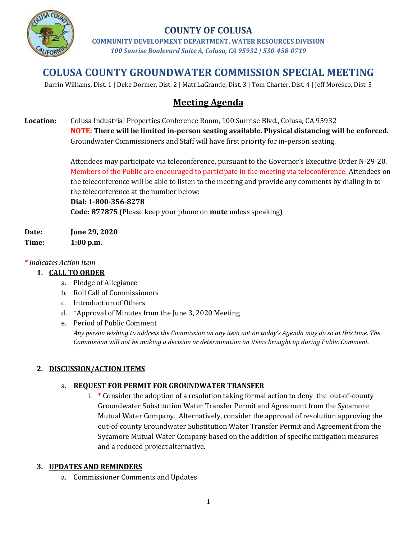

## **COUNTY OF COLUSA**

**COMMUNITY DEVELOPMENT DEPARTMENT, WATER RESOURCES DIVISION** *100 Sunrise Boulevard Suite A, Colusa, CA 95932 | 530-458-0719*

# **COLUSA COUNTY GROUNDWATER COMMISSION SPECIAL MEETING**

Darrin Williams, Dist. 1 | Deke Dormer, Dist. 2 | Matt LaGrande, Dist. 3 | Tom Charter, Dist. 4 | Jeff Moresco, Dist. 5

## **Meeting Agenda**

**Location:** Colusa Industrial Properties Conference Room, 100 Sunrise Blvd., Colusa, CA 95932 **NOTE: There will be limited in-person seating available. Physical distancing will be enforced.** Groundwater Commissioners and Staff will have first priority for in-person seating.

> Attendees may participate via teleconference, pursuant to the Governor's Executive Order N-29-20. Members of the Public are encouraged to participate in the meeting via teleconference. Attendees on the teleconference will be able to listen to the meeting and provide any comments by dialing in to the teleconference at the number below:

**Dial: 1-800-356-8278 Code: 877875** (Please keep your phone on **mute** unless speaking)

**Date: June 29, 2020 Time: 1:00 p.m.**

#### *\* Indicates Action Item*

#### **1. CALL TO ORDER**

- a. Pledge of Allegiance
- b. Roll Call of Commissioners
- c. Introduction of Others
- d. \*Approval of Minutes from the June 3, 2020 Meeting
- e. Period of Public Comment *Any person wishing to address the Commission on any item not on today's Agenda may do so at this time. The Commission will not be making a decision or determination on items brought up during Public Comment.*

#### **2. DISCUSSION/ACTION ITEMS**

#### a. **REQUEST FOR PERMIT FOR GROUNDWATER TRANSFER**

i. \* Consider the adoption of a resolution taking formal action to deny the out-of-county Groundwater Substitution Water Transfer Permit and Agreement from the Sycamore Mutual Water Company. Alternatively, consider the approval of resolution approving the out-of-county Groundwater Substitution Water Transfer Permit and Agreement from the Sycamore Mutual Water Company based on the addition of specific mitigation measures and a reduced project alternative.

#### **3. UPDATES AND REMINDERS**

a. Commissioner Comments and Updates